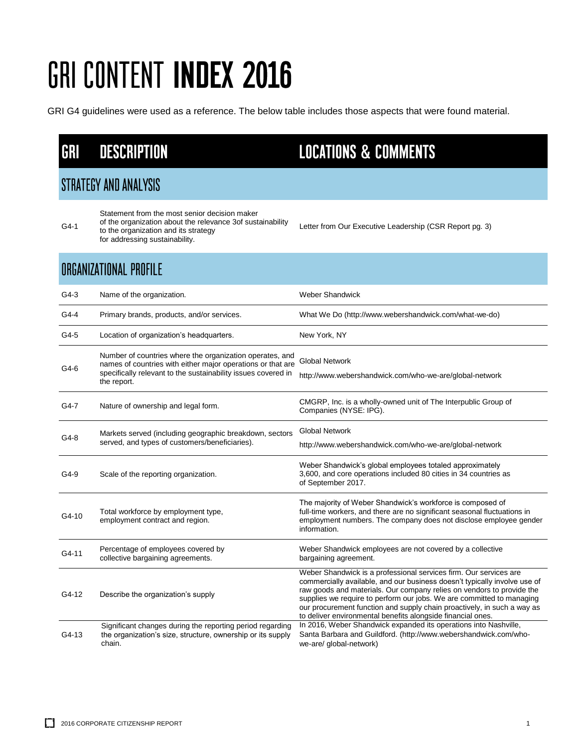GRI G4 guidelines were used as a reference. The below table includes those aspects that were found material.

#### **DESCRIPTION** GRI

#### **STRATEGY AND ANALYSIS**

G4-1

Statement from the most senior decision maker

- of the organization about the relevance 3of sustainability to the organization and its strategy
- for addressing sustainability.

#### **ORGANIZATIONAL PROFILE**

| $G4-3$  | Name of the organization.                                                                                                                                                                               | <b>Weber Shandwick</b>                                                                                                                                                                                                                                                                                                                                                                                                                     |
|---------|---------------------------------------------------------------------------------------------------------------------------------------------------------------------------------------------------------|--------------------------------------------------------------------------------------------------------------------------------------------------------------------------------------------------------------------------------------------------------------------------------------------------------------------------------------------------------------------------------------------------------------------------------------------|
| $G4-4$  | Primary brands, products, and/or services.                                                                                                                                                              | What We Do (http://www.webershandwick.com/what-we-do)                                                                                                                                                                                                                                                                                                                                                                                      |
| G4-5    | Location of organization's headquarters.                                                                                                                                                                | New York, NY                                                                                                                                                                                                                                                                                                                                                                                                                               |
| G4-6    | Number of countries where the organization operates, and<br>names of countries with either major operations or that are<br>specifically relevant to the sustainability issues covered in<br>the report. | <b>Global Network</b><br>http://www.webershandwick.com/who-we-are/global-network                                                                                                                                                                                                                                                                                                                                                           |
| G4-7    | Nature of ownership and legal form.                                                                                                                                                                     | CMGRP, Inc. is a wholly-owned unit of The Interpublic Group of<br>Companies (NYSE: IPG).                                                                                                                                                                                                                                                                                                                                                   |
| $G4-8$  | Markets served (including geographic breakdown, sectors<br>served, and types of customers/beneficiaries).                                                                                               | <b>Global Network</b><br>http://www.webershandwick.com/who-we-are/global-network                                                                                                                                                                                                                                                                                                                                                           |
| G4-9    | Scale of the reporting organization.                                                                                                                                                                    | Weber Shandwick's global employees totaled approximately<br>3,600, and core operations included 80 cities in 34 countries as<br>of September 2017.                                                                                                                                                                                                                                                                                         |
| $G4-10$ | Total workforce by employment type,<br>employment contract and region.                                                                                                                                  | The majority of Weber Shandwick's workforce is composed of<br>full-time workers, and there are no significant seasonal fluctuations in<br>employment numbers. The company does not disclose employee gender<br>information.                                                                                                                                                                                                                |
| G4-11   | Percentage of employees covered by<br>collective bargaining agreements.                                                                                                                                 | Weber Shandwick employees are not covered by a collective<br>bargaining agreement.                                                                                                                                                                                                                                                                                                                                                         |
| G4-12   | Describe the organization's supply                                                                                                                                                                      | Weber Shandwick is a professional services firm. Our services are<br>commercially available, and our business doesn't typically involve use of<br>raw goods and materials. Our company relies on vendors to provide the<br>supplies we require to perform our jobs. We are committed to managing<br>our procurement function and supply chain proactively, in such a way as<br>to deliver environmental benefits alongside financial ones. |
| G4-13   | Significant changes during the reporting period regarding<br>the organization's size, structure, ownership or its supply<br>chain.                                                                      | In 2016, Weber Shandwick expanded its operations into Nashville,<br>Santa Barbara and Guildford. (http://www.webershandwick.com/who-<br>we-are/ global-network)                                                                                                                                                                                                                                                                            |

#### **LOCATIONS & COMMENTS**

Letter from Our Executive Leadership (CSR Report pg. 3)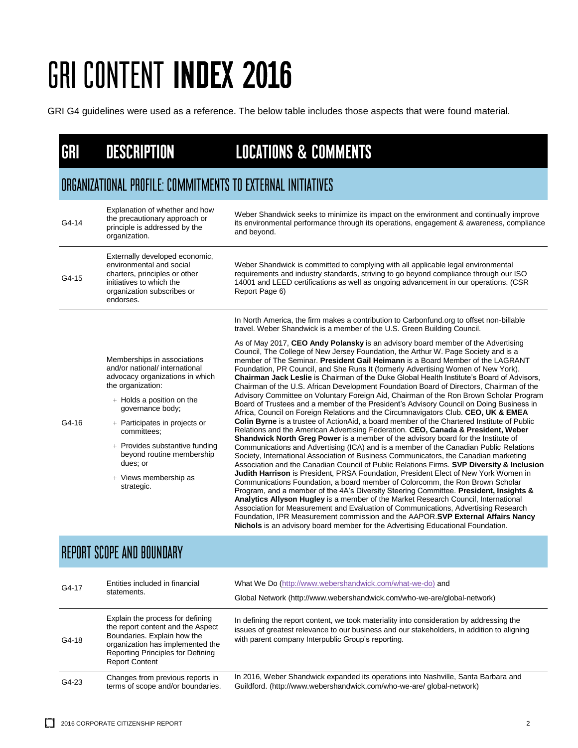GRI G4 guidelines were used as a reference. The below table includes those aspects that were found material.

| GRI   | <b>DESCRIPTION</b>                                                                                                                                                                                                                                                                                                                       | <b>LOCATIONS &amp; COMMENTS</b>                                                                                                                                                                                                                                                                                                                                                                                                                                                                                                                                                                                                                                                                                                                                                                                                                                                                                                                                                                                                                                                                                                                                                                                                                                                                                                                                                                                                                                                                                                                                                                                                                                                                                                                                                                                                                                                                                                                                                                                                                                                                                                                                  |  |  |
|-------|------------------------------------------------------------------------------------------------------------------------------------------------------------------------------------------------------------------------------------------------------------------------------------------------------------------------------------------|------------------------------------------------------------------------------------------------------------------------------------------------------------------------------------------------------------------------------------------------------------------------------------------------------------------------------------------------------------------------------------------------------------------------------------------------------------------------------------------------------------------------------------------------------------------------------------------------------------------------------------------------------------------------------------------------------------------------------------------------------------------------------------------------------------------------------------------------------------------------------------------------------------------------------------------------------------------------------------------------------------------------------------------------------------------------------------------------------------------------------------------------------------------------------------------------------------------------------------------------------------------------------------------------------------------------------------------------------------------------------------------------------------------------------------------------------------------------------------------------------------------------------------------------------------------------------------------------------------------------------------------------------------------------------------------------------------------------------------------------------------------------------------------------------------------------------------------------------------------------------------------------------------------------------------------------------------------------------------------------------------------------------------------------------------------------------------------------------------------------------------------------------------------|--|--|
|       | ORGANIZATIONAL PROFILE: COMMITMENTS TO EXTERNAL INITIATIVES                                                                                                                                                                                                                                                                              |                                                                                                                                                                                                                                                                                                                                                                                                                                                                                                                                                                                                                                                                                                                                                                                                                                                                                                                                                                                                                                                                                                                                                                                                                                                                                                                                                                                                                                                                                                                                                                                                                                                                                                                                                                                                                                                                                                                                                                                                                                                                                                                                                                  |  |  |
| G4-14 | Explanation of whether and how<br>the precautionary approach or<br>principle is addressed by the<br>organization.                                                                                                                                                                                                                        | Weber Shandwick seeks to minimize its impact on the environment and continually improve<br>its environmental performance through its operations, engagement & awareness, compliance<br>and beyond.                                                                                                                                                                                                                                                                                                                                                                                                                                                                                                                                                                                                                                                                                                                                                                                                                                                                                                                                                                                                                                                                                                                                                                                                                                                                                                                                                                                                                                                                                                                                                                                                                                                                                                                                                                                                                                                                                                                                                               |  |  |
| G4-15 | Externally developed economic,<br>environmental and social<br>charters, principles or other<br>initiatives to which the<br>organization subscribes or<br>endorses.                                                                                                                                                                       | Weber Shandwick is committed to complying with all applicable legal environmental<br>requirements and industry standards, striving to go beyond compliance through our ISO<br>14001 and LEED certifications as well as ongoing advancement in our operations. (CSR<br>Report Page 6)                                                                                                                                                                                                                                                                                                                                                                                                                                                                                                                                                                                                                                                                                                                                                                                                                                                                                                                                                                                                                                                                                                                                                                                                                                                                                                                                                                                                                                                                                                                                                                                                                                                                                                                                                                                                                                                                             |  |  |
| G4-16 | Memberships in associations<br>and/or national/ international<br>advocacy organizations in which<br>the organization:<br>+ Holds a position on the<br>governance body;<br>+ Participates in projects or<br>committees;<br>+ Provides substantive funding<br>beyond routine membership<br>dues; or<br>+ Views membership as<br>strategic. | In North America, the firm makes a contribution to Carbonfund.org to offset non-billable<br>travel. Weber Shandwick is a member of the U.S. Green Building Council.<br>As of May 2017, CEO Andy Polansky is an advisory board member of the Advertising<br>Council, The College of New Jersey Foundation, the Arthur W. Page Society and is a<br>member of The Seminar. President Gail Heimann is a Board Member of the LAGRANT<br>Foundation, PR Council, and She Runs It (formerly Advertising Women of New York).<br>Chairman Jack Leslie is Chairman of the Duke Global Health Institute's Board of Advisors.<br>Chairman of the U.S. African Development Foundation Board of Directors, Chairman of the<br>Advisory Committee on Voluntary Foreign Aid, Chairman of the Ron Brown Scholar Program<br>Board of Trustees and a member of the President's Advisory Council on Doing Business in<br>Africa, Council on Foreign Relations and the Circumnavigators Club. CEO, UK & EMEA<br>Colin Byrne is a trustee of ActionAid, a board member of the Chartered Institute of Public<br>Relations and the American Advertising Federation. CEO, Canada & President, Weber<br>Shandwick North Greg Power is a member of the advisory board for the Institute of<br>Communications and Advertising (ICA) and is a member of the Canadian Public Relations<br>Society, International Association of Business Communicators, the Canadian marketing<br>Association and the Canadian Council of Public Relations Firms. SVP Diversity & Inclusion<br>Judith Harrison is President, PRSA Foundation, President Elect of New York Women in<br>Communications Foundation, a board member of Colorcomm, the Ron Brown Scholar<br>Program, and a member of the 4A's Diversity Steering Committee. President, Insights &<br>Analytics Allyson Hugley is a member of the Market Research Council, International<br>Association for Measurement and Evaluation of Communications, Advertising Research<br>Foundation, IPR Measurement commission and the AAPOR.SVP External Affairs Nancy<br>Nichols is an advisory board member for the Advertising Educational Foundation. |  |  |

#### REPORT SCOPE AND BOUNDARY

| G4-17   | Entities included in financial<br>statements.                                                                                                                                                          | What We Do (http://www.webershandwick.com/what-we-do) and<br>Global Network (http://www.webershandwick.com/who-we-are/global-network)                                                                                                        |
|---------|--------------------------------------------------------------------------------------------------------------------------------------------------------------------------------------------------------|----------------------------------------------------------------------------------------------------------------------------------------------------------------------------------------------------------------------------------------------|
| $G4-18$ | Explain the process for defining<br>the report content and the Aspect<br>Boundaries. Explain how the<br>organization has implemented the<br>Reporting Principles for Defining<br><b>Report Content</b> | In defining the report content, we took materiality into consideration by addressing the<br>issues of greatest relevance to our business and our stakeholders, in addition to aligning<br>with parent company Interpublic Group's reporting. |
| G4-23   | Changes from previous reports in<br>terms of scope and/or boundaries.                                                                                                                                  | In 2016, Weber Shandwick expanded its operations into Nashville, Santa Barbara and<br>Guildford. (http://www.webershandwick.com/who-we-are/ global-network)                                                                                  |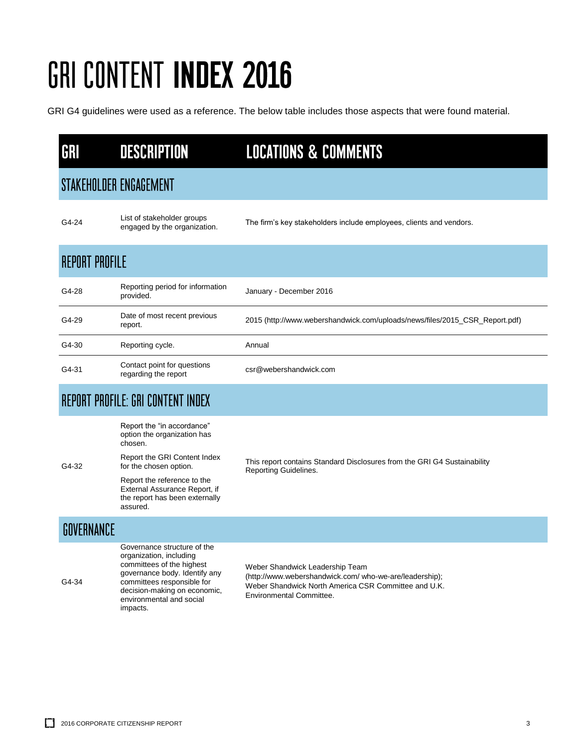GRI G4 guidelines were used as a reference. The below table includes those aspects that were found material.

| GRI        | <b>DESCRIPTION</b>                                                                                                                                                                                                         | <b>LOCATIONS &amp; COMMENTS</b>                                                                                                                                                       |  |
|------------|----------------------------------------------------------------------------------------------------------------------------------------------------------------------------------------------------------------------------|---------------------------------------------------------------------------------------------------------------------------------------------------------------------------------------|--|
|            | STAKEHOLDER ENGAGEMENT                                                                                                                                                                                                     |                                                                                                                                                                                       |  |
| G4-24      | List of stakeholder groups<br>engaged by the organization.                                                                                                                                                                 | The firm's key stakeholders include employees, clients and vendors.                                                                                                                   |  |
|            | <b>REPORT PROFILE</b>                                                                                                                                                                                                      |                                                                                                                                                                                       |  |
| G4-28      | Reporting period for information<br>provided.                                                                                                                                                                              | January - December 2016                                                                                                                                                               |  |
| G4-29      | Date of most recent previous<br>report.                                                                                                                                                                                    | 2015 (http://www.webershandwick.com/uploads/news/files/2015_CSR_Report.pdf)                                                                                                           |  |
| G4-30      | Reporting cycle.                                                                                                                                                                                                           | Annual                                                                                                                                                                                |  |
| G4-31      | Contact point for questions<br>regarding the report                                                                                                                                                                        | csr@webershandwick.com                                                                                                                                                                |  |
|            | REPORT PROFILE: GRI CONTENT INDEX                                                                                                                                                                                          |                                                                                                                                                                                       |  |
|            | Report the "in accordance"<br>option the organization has<br>chosen.                                                                                                                                                       |                                                                                                                                                                                       |  |
| G4-32      | Report the GRI Content Index<br>for the chosen option.                                                                                                                                                                     | This report contains Standard Disclosures from the GRI G4 Sustainability<br>Reporting Guidelines.                                                                                     |  |
|            | Report the reference to the<br>External Assurance Report, if<br>the report has been externally<br>assured.                                                                                                                 |                                                                                                                                                                                       |  |
| GOVERNANCE |                                                                                                                                                                                                                            |                                                                                                                                                                                       |  |
| G4-34      | Governance structure of the<br>organization, including<br>committees of the highest<br>governance body. Identify any<br>committees responsible for<br>decision-making on economic,<br>environmental and social<br>impacts. | Weber Shandwick Leadership Team<br>(http://www.webershandwick.com/ who-we-are/leadership);<br>Weber Shandwick North America CSR Committee and U.K.<br><b>Environmental Committee.</b> |  |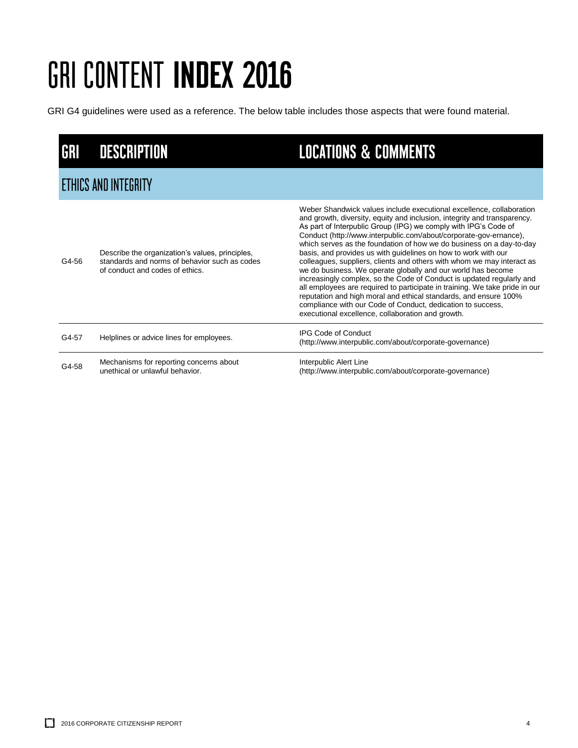GRI G4 guidelines were used as a reference. The below table includes those aspects that were found material.

| <b>GRI</b> | <b>DESCRIPTION</b>                                                                                                                  | <b>LOCATIONS &amp; COMMENTS</b>                                                                                                                                                                                                                                                                                                                                                                                                                                                                                                                                                                                                                                                                                                                                                                                                                                                                                              |  |  |
|------------|-------------------------------------------------------------------------------------------------------------------------------------|------------------------------------------------------------------------------------------------------------------------------------------------------------------------------------------------------------------------------------------------------------------------------------------------------------------------------------------------------------------------------------------------------------------------------------------------------------------------------------------------------------------------------------------------------------------------------------------------------------------------------------------------------------------------------------------------------------------------------------------------------------------------------------------------------------------------------------------------------------------------------------------------------------------------------|--|--|
|            | <b>ETHICS AND INTEGRITY</b>                                                                                                         |                                                                                                                                                                                                                                                                                                                                                                                                                                                                                                                                                                                                                                                                                                                                                                                                                                                                                                                              |  |  |
| G4-56      | Describe the organization's values, principles,<br>standards and norms of behavior such as codes<br>of conduct and codes of ethics. | Weber Shandwick values include executional excellence, collaboration<br>and growth, diversity, equity and inclusion, integrity and transparency.<br>As part of Interpublic Group (IPG) we comply with IPG's Code of<br>Conduct (http://www.interpublic.com/about/corporate-gov-ernance),<br>which serves as the foundation of how we do business on a day-to-day<br>basis, and provides us with guidelines on how to work with our<br>colleagues, suppliers, clients and others with whom we may interact as<br>we do business. We operate globally and our world has become<br>increasingly complex, so the Code of Conduct is updated regularly and<br>all employees are required to participate in training. We take pride in our<br>reputation and high moral and ethical standards, and ensure 100%<br>compliance with our Code of Conduct, dedication to success,<br>executional excellence, collaboration and growth. |  |  |
| G4-57      | Helplines or advice lines for employees.                                                                                            | <b>IPG Code of Conduct</b><br>(http://www.interpublic.com/about/corporate-governance)                                                                                                                                                                                                                                                                                                                                                                                                                                                                                                                                                                                                                                                                                                                                                                                                                                        |  |  |
| G4-58      | Mechanisms for reporting concerns about<br>unethical or unlawful behavior.                                                          | Interpublic Alert Line<br>(http://www.interpublic.com/about/corporate-governance)                                                                                                                                                                                                                                                                                                                                                                                                                                                                                                                                                                                                                                                                                                                                                                                                                                            |  |  |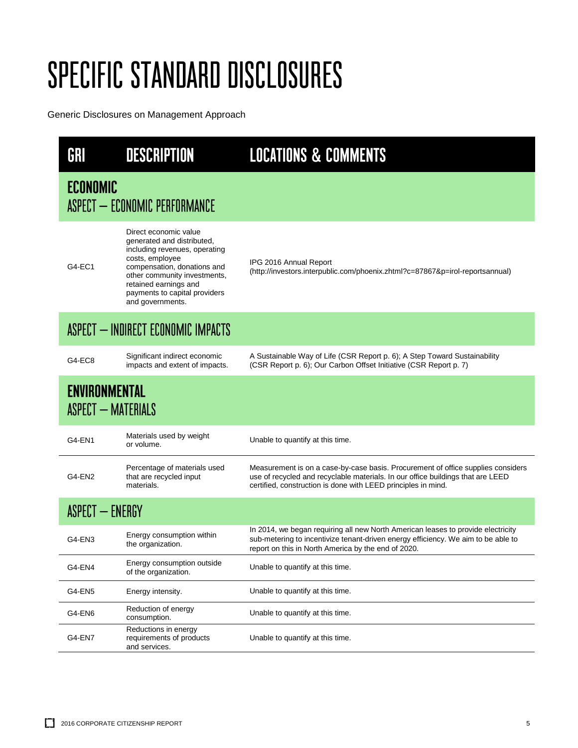| GRI                                        | <b>DESCRIPTION</b>                                                                                                                                                                                                                                   | <b>LOCATIONS &amp; COMMENTS</b>                                                                                                                                                                                                      |
|--------------------------------------------|------------------------------------------------------------------------------------------------------------------------------------------------------------------------------------------------------------------------------------------------------|--------------------------------------------------------------------------------------------------------------------------------------------------------------------------------------------------------------------------------------|
| <b>ECONOMIC</b>                            | ASPECT - ECONOMIC PERFORMANCE                                                                                                                                                                                                                        |                                                                                                                                                                                                                                      |
| G4-EC1                                     | Direct economic value<br>generated and distributed,<br>including revenues, operating<br>costs, employee<br>compensation, donations and<br>other community investments,<br>retained earnings and<br>payments to capital providers<br>and governments. | IPG 2016 Annual Report<br>(http://investors.interpublic.com/phoenix.zhtml?c=87867&p=irol-reportsannual)                                                                                                                              |
| ASPECT - INDIRECT ECONOMIC IMPACTS         |                                                                                                                                                                                                                                                      |                                                                                                                                                                                                                                      |
| G4-EC8                                     | Significant indirect economic<br>impacts and extent of impacts.                                                                                                                                                                                      | A Sustainable Way of Life (CSR Report p. 6); A Step Toward Sustainability<br>(CSR Report p. 6); Our Carbon Offset Initiative (CSR Report p. 7)                                                                                       |
| <b>ENVIRONMENTAL</b><br>ASPECT - MATERIALS |                                                                                                                                                                                                                                                      |                                                                                                                                                                                                                                      |
| G4-EN1                                     | Materials used by weight<br>or volume.                                                                                                                                                                                                               | Unable to quantify at this time.                                                                                                                                                                                                     |
| G4-EN2                                     | Percentage of materials used<br>that are recycled input<br>materials.                                                                                                                                                                                | Measurement is on a case-by-case basis. Procurement of office supplies considers<br>use of recycled and recyclable materials. In our office buildings that are LEED<br>certified, construction is done with LEED principles in mind. |
| <b>ASPECT - ENERGY</b>                     |                                                                                                                                                                                                                                                      |                                                                                                                                                                                                                                      |
| G4-EN3                                     | Energy consumption within<br>the organization.                                                                                                                                                                                                       | In 2014, we began requiring all new North American leases to provide electricity<br>sub-metering to incentivize tenant-driven energy efficiency. We aim to be able to<br>report on this in North America by the end of 2020.         |
| G4-EN4                                     | Energy consumption outside<br>of the organization.                                                                                                                                                                                                   | Unable to quantify at this time.                                                                                                                                                                                                     |
| G4-EN5                                     | Energy intensity.                                                                                                                                                                                                                                    | Unable to quantify at this time.                                                                                                                                                                                                     |
| G4-EN6                                     | Reduction of energy<br>consumption.                                                                                                                                                                                                                  | Unable to quantify at this time.                                                                                                                                                                                                     |
| G4-EN7                                     | Reductions in energy<br>requirements of products<br>and services.                                                                                                                                                                                    | Unable to quantify at this time.                                                                                                                                                                                                     |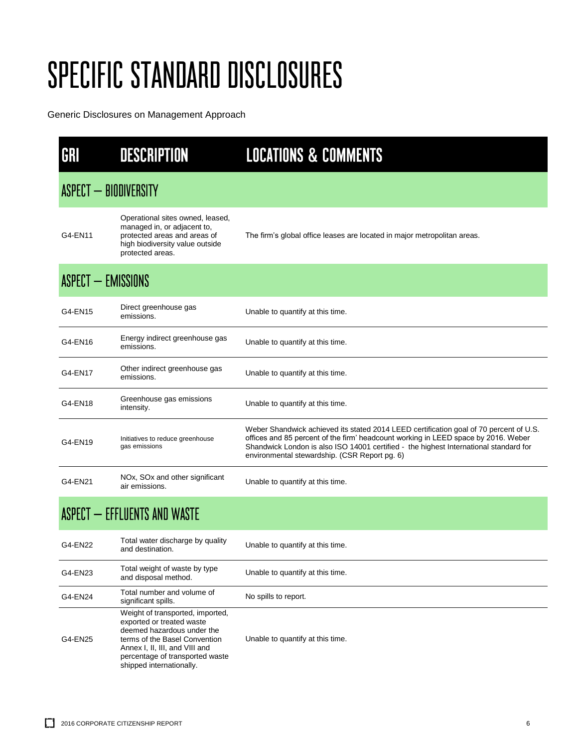| GRI                          | <b>DESCRIPTION</b>                                                                                                                                                                                                            | <b>LOCATIONS &amp; COMMENTS</b>                                                                                                                                                                                                                                                                                        |  |  |
|------------------------------|-------------------------------------------------------------------------------------------------------------------------------------------------------------------------------------------------------------------------------|------------------------------------------------------------------------------------------------------------------------------------------------------------------------------------------------------------------------------------------------------------------------------------------------------------------------|--|--|
| ASPECT - BIODIVERSITY        |                                                                                                                                                                                                                               |                                                                                                                                                                                                                                                                                                                        |  |  |
| G4-EN11                      | Operational sites owned, leased,<br>managed in, or adjacent to,<br>protected areas and areas of<br>high biodiversity value outside<br>protected areas.                                                                        | The firm's global office leases are located in major metropolitan areas.                                                                                                                                                                                                                                               |  |  |
|                              | ASPECT - EMISSIONS                                                                                                                                                                                                            |                                                                                                                                                                                                                                                                                                                        |  |  |
| G4-EN15                      | Direct greenhouse gas<br>emissions.                                                                                                                                                                                           | Unable to quantify at this time.                                                                                                                                                                                                                                                                                       |  |  |
| G4-EN16                      | Energy indirect greenhouse gas<br>emissions.                                                                                                                                                                                  | Unable to quantify at this time.                                                                                                                                                                                                                                                                                       |  |  |
| G4-EN17                      | Other indirect greenhouse gas<br>emissions.                                                                                                                                                                                   | Unable to quantify at this time.                                                                                                                                                                                                                                                                                       |  |  |
| G4-EN18                      | Greenhouse gas emissions<br>intensity.                                                                                                                                                                                        | Unable to quantify at this time.                                                                                                                                                                                                                                                                                       |  |  |
| G4-EN19                      | Initiatives to reduce greenhouse<br>gas emissions                                                                                                                                                                             | Weber Shandwick achieved its stated 2014 LEED certification goal of 70 percent of U.S.<br>offices and 85 percent of the firm' headcount working in LEED space by 2016. Weber<br>Shandwick London is also ISO 14001 certified - the highest International standard for<br>environmental stewardship. (CSR Report pg. 6) |  |  |
| G4-EN21                      | NOx, SOx and other significant<br>air emissions.                                                                                                                                                                              | Unable to quantify at this time.                                                                                                                                                                                                                                                                                       |  |  |
| ASPECT - EFFLUENTS AND WASTE |                                                                                                                                                                                                                               |                                                                                                                                                                                                                                                                                                                        |  |  |
| G4-EN22                      | Total water discharge by quality<br>and destination.                                                                                                                                                                          | Unable to quantify at this time.                                                                                                                                                                                                                                                                                       |  |  |
| G4-EN23                      | Total weight of waste by type<br>and disposal method.                                                                                                                                                                         | Unable to quantify at this time.                                                                                                                                                                                                                                                                                       |  |  |
| G4-EN24                      | Total number and volume of<br>significant spills.                                                                                                                                                                             | No spills to report.                                                                                                                                                                                                                                                                                                   |  |  |
| G4-EN25                      | Weight of transported, imported,<br>exported or treated waste<br>deemed hazardous under the<br>terms of the Basel Convention<br>Annex I, II, III, and VIII and<br>percentage of transported waste<br>shipped internationally. | Unable to quantify at this time.                                                                                                                                                                                                                                                                                       |  |  |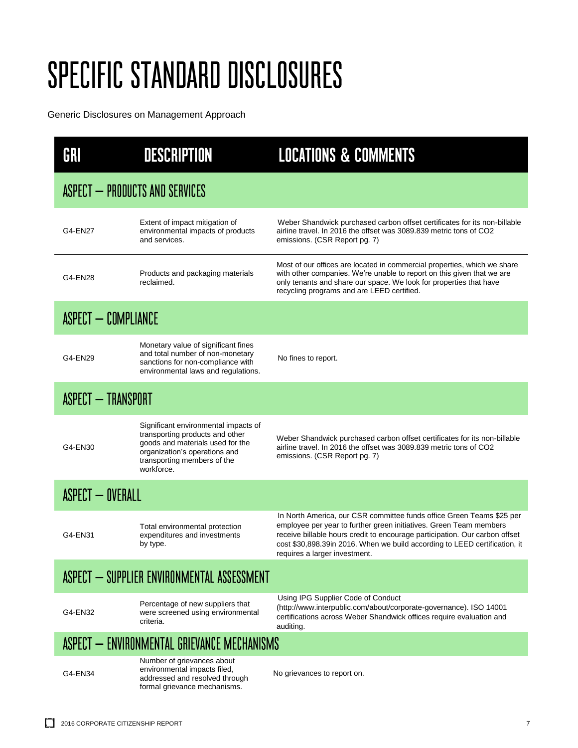| GRI                                        | <b>DESCRIPTION</b>                                                                                                                                                                        | <b>LOCATIONS &amp; COMMENTS</b>                                                                                                                                                                                                                                                                                                           |  |  |
|--------------------------------------------|-------------------------------------------------------------------------------------------------------------------------------------------------------------------------------------------|-------------------------------------------------------------------------------------------------------------------------------------------------------------------------------------------------------------------------------------------------------------------------------------------------------------------------------------------|--|--|
|                                            | ASPECT - PRODUCTS AND SERVICES                                                                                                                                                            |                                                                                                                                                                                                                                                                                                                                           |  |  |
| G4-EN27                                    | Extent of impact mitigation of<br>environmental impacts of products<br>and services.                                                                                                      | Weber Shandwick purchased carbon offset certificates for its non-billable<br>airline travel. In 2016 the offset was 3089.839 metric tons of CO2<br>emissions. (CSR Report pg. 7)                                                                                                                                                          |  |  |
| G4-EN28                                    | Products and packaging materials<br>reclaimed.                                                                                                                                            | Most of our offices are located in commercial properties, which we share<br>with other companies. We're unable to report on this given that we are<br>only tenants and share our space. We look for properties that have<br>recycling programs and are LEED certified.                                                                    |  |  |
| ASPECT - COMPLIANCE                        |                                                                                                                                                                                           |                                                                                                                                                                                                                                                                                                                                           |  |  |
| G4-EN29                                    | Monetary value of significant fines<br>and total number of non-monetary<br>sanctions for non-compliance with<br>environmental laws and regulations.                                       | No fines to report.                                                                                                                                                                                                                                                                                                                       |  |  |
| <b>ASPECT - TRANSPORT</b>                  |                                                                                                                                                                                           |                                                                                                                                                                                                                                                                                                                                           |  |  |
| G4-EN30                                    | Significant environmental impacts of<br>transporting products and other<br>goods and materials used for the<br>organization's operations and<br>transporting members of the<br>workforce. | Weber Shandwick purchased carbon offset certificates for its non-billable<br>airline travel. In 2016 the offset was 3089.839 metric tons of CO2<br>emissions. (CSR Report pg. 7)                                                                                                                                                          |  |  |
| <b>ASPECT - OVERALL</b>                    |                                                                                                                                                                                           |                                                                                                                                                                                                                                                                                                                                           |  |  |
| G4-EN31                                    | Total environmental protection<br>expenditures and investments<br>by type.                                                                                                                | In North America, our CSR committee funds office Green Teams \$25 per<br>employee per year to further green initiatives. Green Team members<br>receive billable hours credit to encourage participation. Our carbon offset<br>cost \$30,898.39in 2016. When we build according to LEED certification, it<br>requires a larger investment. |  |  |
| ASPECT - SUPPLIER ENVIRONMENTAL ASSESSMENT |                                                                                                                                                                                           |                                                                                                                                                                                                                                                                                                                                           |  |  |
| G4-EN32                                    | Percentage of new suppliers that<br>were screened using environmental<br>criteria.                                                                                                        | Using IPG Supplier Code of Conduct<br>(http://www.interpublic.com/about/corporate-governance). ISO 14001<br>certifications across Weber Shandwick offices require evaluation and<br>auditing.                                                                                                                                             |  |  |
|                                            | ASPECT - ENVIRONMENTAL GRIEVANCE MECHANISMS                                                                                                                                               |                                                                                                                                                                                                                                                                                                                                           |  |  |
| G4-EN34                                    | Number of grievances about<br>environmental impacts filed,<br>addressed and resolved through<br>formal grievance mechanisms.                                                              | No grievances to report on.                                                                                                                                                                                                                                                                                                               |  |  |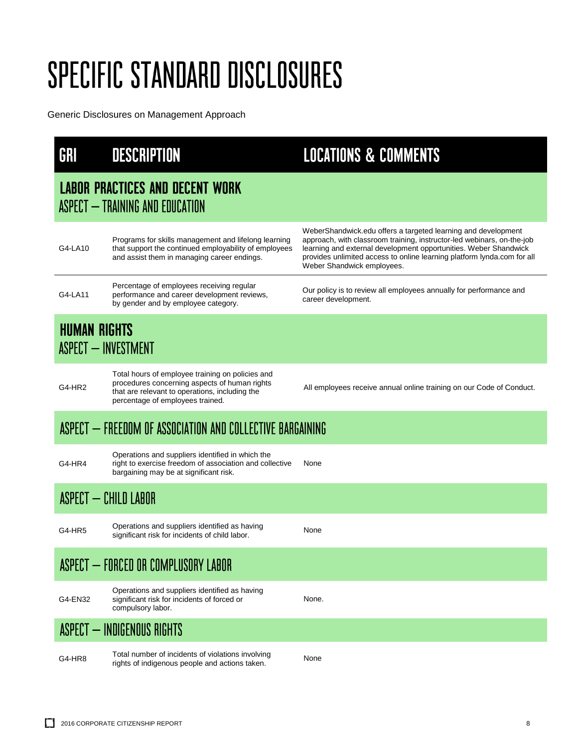| GRI                                                       | <b>DESCRIPTION</b>                                                                                                                                                                      | <b>LOCATIONS &amp; COMMENTS</b>                                                                                                                                                                                                                                                                                      |
|-----------------------------------------------------------|-----------------------------------------------------------------------------------------------------------------------------------------------------------------------------------------|----------------------------------------------------------------------------------------------------------------------------------------------------------------------------------------------------------------------------------------------------------------------------------------------------------------------|
|                                                           | <b>LABOR PRACTICES AND DECENT WORK</b><br>ASPECT - TRAINING AND EDUCATION                                                                                                               |                                                                                                                                                                                                                                                                                                                      |
| G4-LA10                                                   | Programs for skills management and lifelong learning<br>that support the continued employability of employees<br>and assist them in managing career endings.                            | WeberShandwick.edu offers a targeted learning and development<br>approach, with classroom training, instructor-led webinars, on-the-job<br>learning and external development opportunities. Weber Shandwick<br>provides unlimited access to online learning platform lynda.com for all<br>Weber Shandwick employees. |
| G4-LA11                                                   | Percentage of employees receiving regular<br>performance and career development reviews,<br>by gender and by employee category.                                                         | Our policy is to review all employees annually for performance and<br>career development.                                                                                                                                                                                                                            |
|                                                           | <b>HUMAN RIGHTS</b><br>ASPECT - INVESTMENT                                                                                                                                              |                                                                                                                                                                                                                                                                                                                      |
| G4-HR2                                                    | Total hours of employee training on policies and<br>procedures concerning aspects of human rights<br>that are relevant to operations, including the<br>percentage of employees trained. | All employees receive annual online training on our Code of Conduct.                                                                                                                                                                                                                                                 |
| ASPECT — FREEDOM OF ASSOCIATION AND COLLECTIVE BARGAINING |                                                                                                                                                                                         |                                                                                                                                                                                                                                                                                                                      |
| G4-HR4                                                    | Operations and suppliers identified in which the<br>right to exercise freedom of association and collective<br>bargaining may be at significant risk.                                   | None                                                                                                                                                                                                                                                                                                                 |
|                                                           | ASPECT - CHILD LABOR                                                                                                                                                                    |                                                                                                                                                                                                                                                                                                                      |
| G4-HR5                                                    | Operations and suppliers identified as having<br>significant risk for incidents of child labor.                                                                                         | None                                                                                                                                                                                                                                                                                                                 |
|                                                           | ASPECT - FORCED OR COMPLUSORY LABOR                                                                                                                                                     |                                                                                                                                                                                                                                                                                                                      |
| G4-EN32                                                   | Operations and suppliers identified as having<br>significant risk for incidents of forced or<br>compulsory labor.                                                                       | None.                                                                                                                                                                                                                                                                                                                |
|                                                           | <b>ASPECT - INDIGENOUS RIGHTS</b>                                                                                                                                                       |                                                                                                                                                                                                                                                                                                                      |
| G4-HR8                                                    | Total number of incidents of violations involving<br>rights of indigenous people and actions taken.                                                                                     | None                                                                                                                                                                                                                                                                                                                 |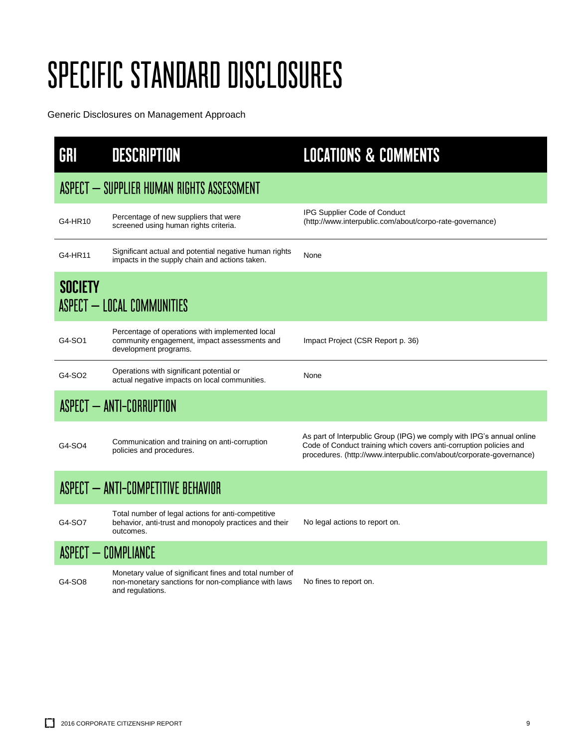| GRI                                | <b>DESCRIPTION</b>                                                                                                                 | <b>LOCATIONS &amp; COMMENTS</b>                                                                                                                                                                                    |
|------------------------------------|------------------------------------------------------------------------------------------------------------------------------------|--------------------------------------------------------------------------------------------------------------------------------------------------------------------------------------------------------------------|
|                                    | ASPECT - SUPPLIER HUMAN RIGHTS ASSESSMENT                                                                                          |                                                                                                                                                                                                                    |
| G4-HR10                            | Percentage of new suppliers that were<br>screened using human rights criteria.                                                     | IPG Supplier Code of Conduct<br>(http://www.interpublic.com/about/corpo-rate-governance)                                                                                                                           |
| G4-HR11                            | Significant actual and potential negative human rights<br>impacts in the supply chain and actions taken.                           | None                                                                                                                                                                                                               |
| <b>SOCIETY</b>                     | ASPECT - LOCAL COMMUNITIES                                                                                                         |                                                                                                                                                                                                                    |
| G4-SO1                             | Percentage of operations with implemented local<br>community engagement, impact assessments and<br>development programs.           | Impact Project (CSR Report p. 36)                                                                                                                                                                                  |
| G4-SO2                             | Operations with significant potential or<br>actual negative impacts on local communities.                                          | None                                                                                                                                                                                                               |
|                                    | ASPECT - ANTI-CORRUPTION                                                                                                           |                                                                                                                                                                                                                    |
| G4-SO4                             | Communication and training on anti-corruption<br>policies and procedures.                                                          | As part of Interpublic Group (IPG) we comply with IPG's annual online<br>Code of Conduct training which covers anti-corruption policies and<br>procedures. (http://www.interpublic.com/about/corporate-governance) |
| ASPECT - ANTI-COMPETITIVE BEHAVIOR |                                                                                                                                    |                                                                                                                                                                                                                    |
| G4-SO7                             | Total number of legal actions for anti-competitive<br>behavior, anti-trust and monopoly practices and their<br>outcomes.           | No legal actions to report on.                                                                                                                                                                                     |
|                                    | <b>ASPECT - COMPLIANCE</b>                                                                                                         |                                                                                                                                                                                                                    |
| G4-SO8                             | Monetary value of significant fines and total number of<br>non-monetary sanctions for non-compliance with laws<br>and regulations. | No fines to report on.                                                                                                                                                                                             |